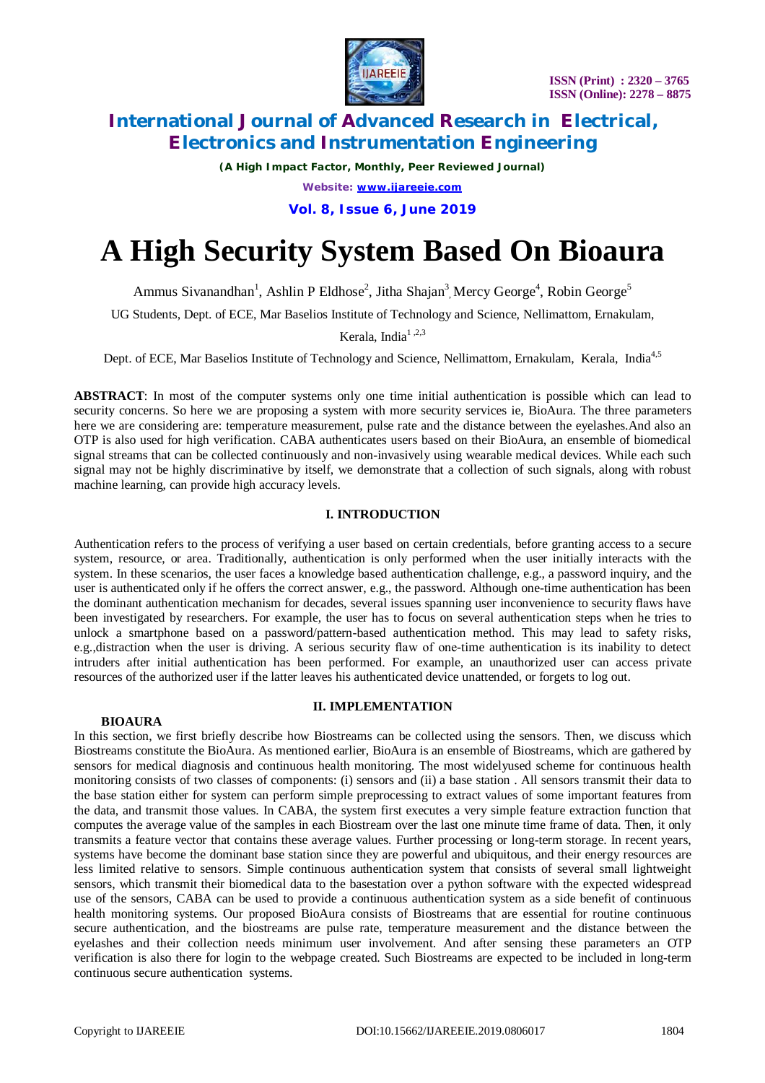

*(A High Impact Factor, Monthly, Peer Reviewed Journal)*

*Website: [www.ijareeie.com](http://www.ijareeie.com)*

**Vol. 8, Issue 6, June 2019**

# **A High Security System Based On Bioaura**

Ammus Sivanandhan<sup>1</sup>, Ashlin P Eldhose<sup>2</sup>, Jitha Shajan<sup>3</sup>, Mercy George<sup>4</sup>, Robin George<sup>5</sup>

UG Students, Dept. of ECE, Mar Baselios Institute of Technology and Science, Nellimattom, Ernakulam,

Kerala, India<sup>1,2,3</sup>

Dept. of ECE, Mar Baselios Institute of Technology and Science, Nellimattom, Ernakulam, Kerala, India<sup>4,5</sup>

**ABSTRACT**: In most of the computer systems only one time initial authentication is possible which can lead to security concerns. So here we are proposing a system with more security services ie, BioAura. The three parameters here we are considering are: temperature measurement, pulse rate and the distance between the eyelashes.And also an OTP is also used for high verification. CABA authenticates users based on their BioAura, an ensemble of biomedical signal streams that can be collected continuously and non-invasively using wearable medical devices. While each such signal may not be highly discriminative by itself, we demonstrate that a collection of such signals, along with robust machine learning, can provide high accuracy levels.

# **I. INTRODUCTION**

Authentication refers to the process of verifying a user based on certain credentials, before granting access to a secure system, resource, or area. Traditionally, authentication is only performed when the user initially interacts with the system. In these scenarios, the user faces a knowledge based authentication challenge, e.g., a password inquiry, and the user is authenticated only if he offers the correct answer, e.g., the password. Although one-time authentication has been the dominant authentication mechanism for decades, several issues spanning user inconvenience to security flaws have been investigated by researchers. For example, the user has to focus on several authentication steps when he tries to unlock a smartphone based on a password/pattern-based authentication method. This may lead to safety risks, e.g.,distraction when the user is driving. A serious security flaw of one-time authentication is its inability to detect intruders after initial authentication has been performed. For example, an unauthorized user can access private resources of the authorized user if the latter leaves his authenticated device unattended, or forgets to log out.

## **BIOAURA**

# **II. IMPLEMENTATION**

In this section, we first briefly describe how Biostreams can be collected using the sensors. Then, we discuss which Biostreams constitute the BioAura. As mentioned earlier, BioAura is an ensemble of Biostreams, which are gathered by sensors for medical diagnosis and continuous health monitoring. The most widelyused scheme for continuous health monitoring consists of two classes of components: (i) sensors and (ii) a base station . All sensors transmit their data to the base station either for system can perform simple preprocessing to extract values of some important features from the data, and transmit those values. In CABA, the system first executes a very simple feature extraction function that computes the average value of the samples in each Biostream over the last one minute time frame of data. Then, it only transmits a feature vector that contains these average values. Further processing or long-term storage. In recent years, systems have become the dominant base station since they are powerful and ubiquitous, and their energy resources are less limited relative to sensors. Simple continuous authentication system that consists of several small lightweight sensors, which transmit their biomedical data to the basestation over a python software with the expected widespread use of the sensors, CABA can be used to provide a continuous authentication system as a side benefit of continuous health monitoring systems. Our proposed BioAura consists of Biostreams that are essential for routine continuous secure authentication, and the biostreams are pulse rate, temperature measurement and the distance between the eyelashes and their collection needs minimum user involvement. And after sensing these parameters an OTP verification is also there for login to the webpage created. Such Biostreams are expected to be included in long-term continuous secure authentication systems.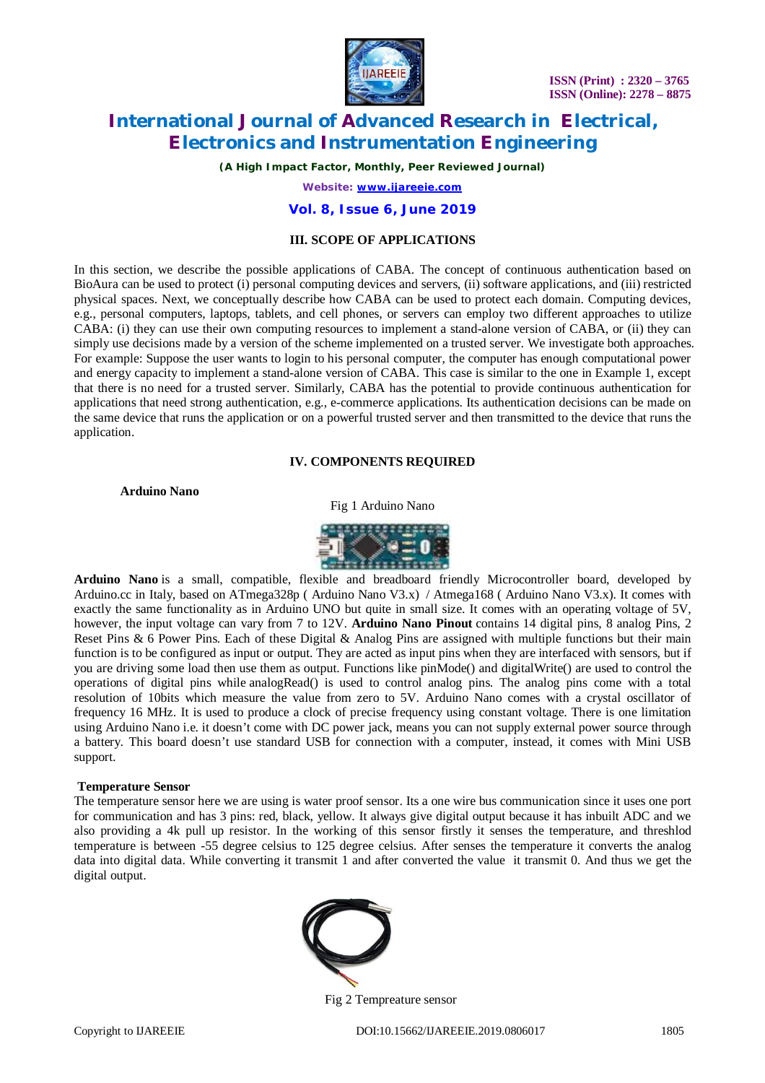

*(A High Impact Factor, Monthly, Peer Reviewed Journal)*

*Website: [www.ijareeie.com](http://www.ijareeie.com)*

## **Vol. 8, Issue 6, June 2019**

## **III. SCOPE OF APPLICATIONS**

In this section, we describe the possible applications of CABA. The concept of continuous authentication based on BioAura can be used to protect (i) personal computing devices and servers, (ii) software applications, and (iii) restricted physical spaces. Next, we conceptually describe how CABA can be used to protect each domain. Computing devices, e.g., personal computers, laptops, tablets, and cell phones, or servers can employ two different approaches to utilize CABA: (i) they can use their own computing resources to implement a stand-alone version of CABA, or (ii) they can simply use decisions made by a version of the scheme implemented on a trusted server. We investigate both approaches. For example: Suppose the user wants to login to his personal computer, the computer has enough computational power and energy capacity to implement a stand-alone version of CABA. This case is similar to the one in Example 1, except that there is no need for a trusted server. Similarly, CABA has the potential to provide continuous authentication for applications that need strong authentication, e.g., e-commerce applications. Its authentication decisions can be made on the same device that runs the application or on a powerful trusted server and then transmitted to the device that runs the application.

### **IV. COMPONENTS REQUIRED**

**Arduino Nano**

Fig 1 Arduino Nano



**Arduino Nano** is a small, compatible, flexible and breadboard friendly Microcontroller board, developed by Arduino.cc in Italy, based on ATmega328p ( Arduino Nano V3.x) / Atmega168 ( Arduino Nano V3.x). It comes with exactly the same functionality as in Arduino UNO but quite in small size. It comes with an operating voltage of 5V, however, the input voltage can vary from 7 to 12V. **Arduino Nano Pinout** contains 14 digital pins, 8 analog Pins, 2 Reset Pins  $\&$  6 Power Pins. Each of these Digital  $\&$  Analog Pins are assigned with multiple functions but their main function is to be configured as input or output. They are acted as input pins when they are interfaced with sensors, but if you are driving some load then use them as output. Functions like pinMode() and digitalWrite() are used to control the operations of digital pins while analogRead() is used to control analog pins. The analog pins come with a total resolution of 10bits which measure the value from zero to 5V. Arduino Nano comes with a crystal oscillator of frequency 16 MHz. It is used to produce a clock of precise frequency using constant voltage. There is one limitation using Arduino Nano i.e. it doesn't come with DC power jack, means you can not supply external power source through a battery. This board doesn't use standard USB for connection with a computer, instead, it comes with Mini USB support.

#### **Temperature Sensor**

The temperature sensor here we are using is water proof sensor. Its a one wire bus communication since it uses one port for communication and has 3 pins: red, black, yellow. It always give digital output because it has inbuilt ADC and we also providing a 4k pull up resistor. In the working of this sensor firstly it senses the temperature, and threshlod temperature is between -55 degree celsius to 125 degree celsius. After senses the temperature it converts the analog data into digital data. While converting it transmit 1 and after converted the value it transmit 0. And thus we get the digital output.



Fig 2 Tempreature sensor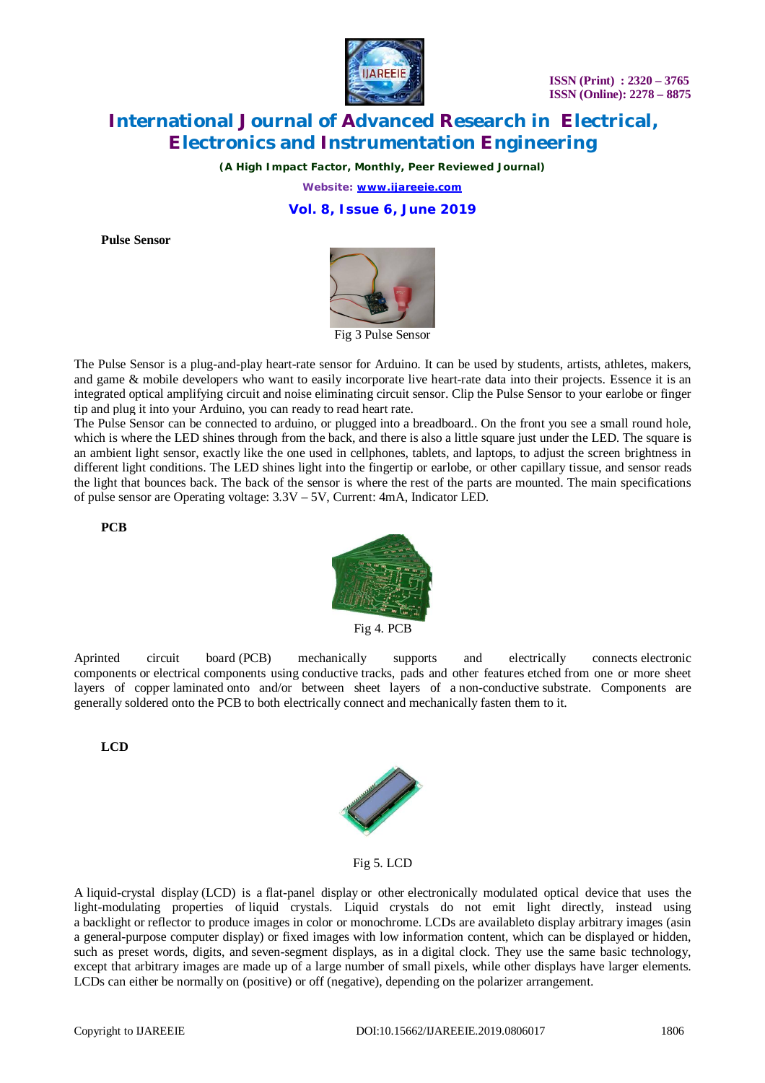

*(A High Impact Factor, Monthly, Peer Reviewed Journal)*

*Website: [www.ijareeie.com](http://www.ijareeie.com)*

**Vol. 8, Issue 6, June 2019**

**Pulse Sensor**



The Pulse Sensor is a plug-and-play heart-rate sensor for Arduino. It can be used by students, artists, athletes, makers, and game & mobile developers who want to easily incorporate live heart-rate data into their projects. Essence it is an integrated optical amplifying circuit and noise eliminating circuit sensor. Clip the Pulse Sensor to your earlobe or finger tip and plug it into your Arduino, you can ready to read heart rate.

The Pulse Sensor can be connected to arduino, or plugged into a breadboard.. On the front you see a small round hole, which is where the LED shines through from the back, and there is also a little square just under the LED. The square is an ambient light sensor, exactly like the one used in cellphones, tablets, and laptops, to adjust the screen brightness in different light conditions. The LED shines light into the fingertip or earlobe, or other capillary tissue, and sensor reads the light that bounces back. The back of the sensor is where the rest of the parts are mounted. The main specifications of pulse sensor are Operating voltage: 3.3V – 5V, Current: 4mA, Indicator LED.

**PCB**



Fig 4. PCB

Aprinted circuit board (PCB) mechanically supports and electrically connects electronic components or electrical components using conductive tracks, pads and other features etched from one or more sheet layers of copper laminated onto and/or between sheet layers of a non-conductive substrate. Components are generally soldered onto the PCB to both electrically connect and mechanically fasten them to it.

**LCD**



Fig 5. LCD

A liquid-crystal display (LCD) is a flat-panel display or other electronically modulated optical device that uses the light-modulating properties of liquid crystals. Liquid crystals do not emit light directly, instead using a backlight or reflector to produce images in color or monochrome. LCDs are availableto display arbitrary images (asin a general-purpose computer display) or fixed images with low information content, which can be displayed or hidden, such as preset words, digits, and seven-segment displays, as in a digital clock. They use the same basic technology, except that arbitrary images are made up of a large number of small pixels, while other displays have larger elements. LCDs can either be normally on (positive) or off (negative), depending on the polarizer arrangement.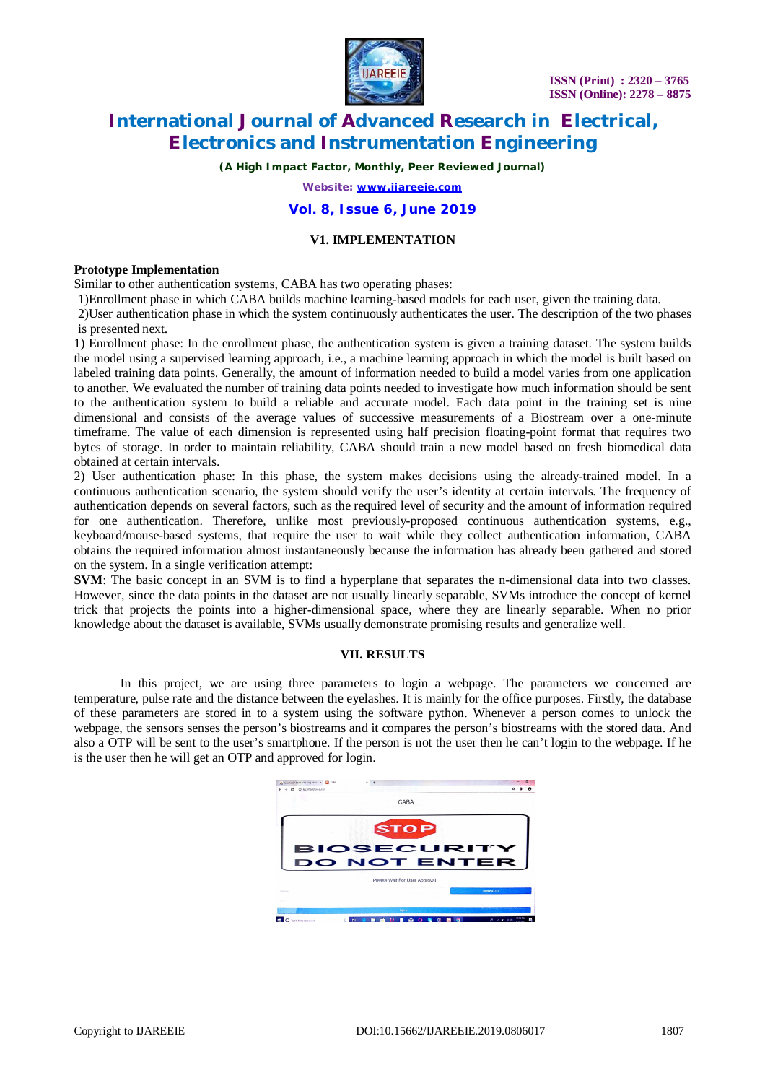

*(A High Impact Factor, Monthly, Peer Reviewed Journal)*

*Website: [www.ijareeie.com](http://www.ijareeie.com)*

### **Vol. 8, Issue 6, June 2019**

# **V1. IMPLEMENTATION**

#### **Prototype Implementation**

Similar to other authentication systems, CABA has two operating phases:

1)Enrollment phase in which CABA builds machine learning-based models for each user, given the training data.

2)User authentication phase in which the system continuously authenticates the user. The description of the two phases is presented next.

1) Enrollment phase: In the enrollment phase, the authentication system is given a training dataset. The system builds the model using a supervised learning approach, i.e., a machine learning approach in which the model is built based on labeled training data points. Generally, the amount of information needed to build a model varies from one application to another. We evaluated the number of training data points needed to investigate how much information should be sent to the authentication system to build a reliable and accurate model. Each data point in the training set is nine dimensional and consists of the average values of successive measurements of a Biostream over a one-minute timeframe. The value of each dimension is represented using half precision floating-point format that requires two bytes of storage. In order to maintain reliability, CABA should train a new model based on fresh biomedical data obtained at certain intervals.

2) User authentication phase: In this phase, the system makes decisions using the already-trained model. In a continuous authentication scenario, the system should verify the user's identity at certain intervals. The frequency of authentication depends on several factors, such as the required level of security and the amount of information required for one authentication. Therefore, unlike most previously-proposed continuous authentication systems, e.g., keyboard/mouse-based systems, that require the user to wait while they collect authentication information, CABA obtains the required information almost instantaneously because the information has already been gathered and stored on the system. In a single verification attempt:

**SVM**: The basic concept in an SVM is to find a hyperplane that separates the n-dimensional data into two classes. However, since the data points in the dataset are not usually linearly separable, SVMs introduce the concept of kernel trick that projects the points into a higher-dimensional space, where they are linearly separable. When no prior knowledge about the dataset is available, SVMs usually demonstrate promising results and generalize well.

#### **VII. RESULTS**

In this project, we are using three parameters to login a webpage. The parameters we concerned are temperature, pulse rate and the distance between the eyelashes. It is mainly for the office purposes. Firstly, the database of these parameters are stored in to a system using the software python. Whenever a person comes to unlock the webpage, the sensors senses the person's biostreams and it compares the person's biostreams with the stored data. And also a OTP will be sent to the user's smartphone. If the person is not the user then he can't login to the webpage. If he is the user then he will get an OTP and approved for login.